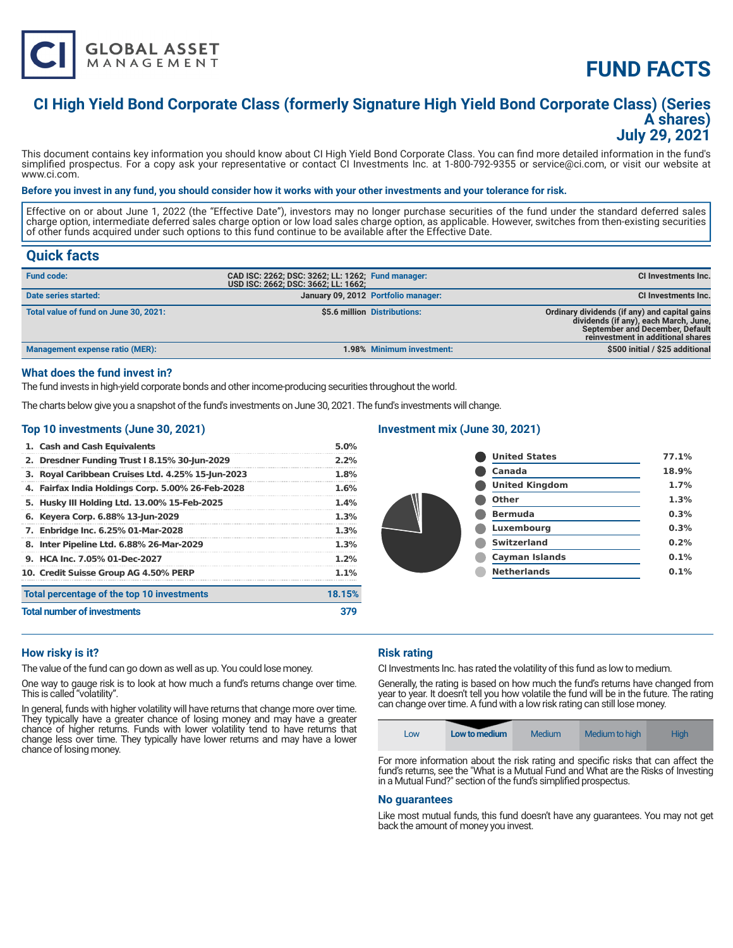

# **FUND FACTS**

### **CI High Yield Bond Corporate Class (formerly Signature High Yield Bond Corporate Class) (Series A shares) July 29, 2021**

This document contains key information you should know about CI High Yield Bond Corporate Class. You can find more detailed information in the fund's simplified prospectus. For a copy ask your representative or contact CI Investments Inc. at 1-800-792-9355 or service@ci.com, or visit our website at www.ci.com.

#### **Before you invest in any fund, you should consider how it works with your other investments and your tolerance for risk.**

Effective on or about June 1, 2022 (the "Effective Date"), investors may no longer purchase securities of the fund under the standard deferred sales charge option, intermediate deferred sales charge option or low load sales charge option, as applicable. However, switches from then-existing securities of other funds acquired under such options to this fund continue to be available after the Effective Date.

### **Quick facts**

| <b>Fund code:</b>                     | CAD ISC: 2262; DSC: 3262; LL: 1262; Fund manager:<br>USD ISC: 2662; DSC: 3662; LL: 1662; |                                     | CI Investments Inc.                                                                                                                                            |
|---------------------------------------|------------------------------------------------------------------------------------------|-------------------------------------|----------------------------------------------------------------------------------------------------------------------------------------------------------------|
| Date series started:                  |                                                                                          | January 09, 2012 Portfolio manager: | <b>CI Investments Inc.</b>                                                                                                                                     |
| Total value of fund on June 30, 2021: |                                                                                          | \$5.6 million Distributions:        | Ordinary dividends (if any) and capital gains<br>dividends (if any), each March, June,<br>September and December, Default<br>reinvestment in additional shares |
| Management expense ratio (MER):       |                                                                                          | 1.98% Minimum investment:           | \$500 initial / \$25 additional                                                                                                                                |

#### **What does the fund invest in?**

The fund invests in high-yield corporate bonds and other income-producing securities throughout the world.

The charts below give you a snapshot of the fund's investments on June 30, 2021. The fund's investments will change.

#### **Top 10 investments (June 30, 2021)**

| 1. Cash and Cash Equivalents                      | 5.0%    |
|---------------------------------------------------|---------|
| 2. Dresdner Funding Trust I 8.15% 30-Jun-2029     | 2.2%    |
| 3. Royal Caribbean Cruises Ltd. 4.25% 15-Jun-2023 | 1.8%    |
| 4. Fairfax India Holdings Corp. 5.00% 26-Feb-2028 | 1.6%    |
| 5. Husky III Holding Ltd. 13.00% 15-Feb-2025      | 1.4%    |
| 6. Keyera Corp. 6.88% 13-Jun-2029                 | 1.3%    |
| 7. Enbridge Inc. 6.25% 01-Mar-2028                | 1.3%    |
| 8. Inter Pipeline Ltd. 6.88% 26-Mar-2029          | 1.3%    |
| 9. HCA Inc. 7.05% 01-Dec-2027                     | 1.2%    |
| 10. Credit Suisse Group AG 4.50% PERP             | $1.1\%$ |
| Total percentage of the top 10 investments        | 18.15%  |
| <b>Total number of investments</b>                |         |

#### **Investment mix (June 30, 2021)**

| <b>United States</b>  | 77.1% |
|-----------------------|-------|
| Canada                | 18.9% |
| <b>United Kingdom</b> | 1.7%  |
| Other                 | 1.3%  |
| <b>Bermuda</b>        | 0.3%  |
| Luxembourg            | 0.3%  |
| <b>Switzerland</b>    | 0.2%  |
| <b>Cayman Islands</b> | 0.1%  |
| <b>Netherlands</b>    | 0.1%  |
|                       |       |

#### **How risky is it?**

The value of the fund can go down as well as up. You could lose money.

One way to gauge risk is to look at how much a fund's returns change over time. This is called "volatility".

In general, funds with higher volatility will have returns that change more over time. They typically have a greater chance of losing money and may have a greater chance of higher returns. Funds with lower volatility tend to have returns that change less over time. They typically have lower returns and may have a lower chance of losing money.

#### **Risk rating**

CI Investments Inc. has rated the volatility of this fund as low to medium.

Generally, the rating is based on how much the fund's returns have changed from year to year. It doesn't tell you how volatile the fund will be in the future. The rating can change over time. A fund with a low risk rating can still lose money.



fund's returns, see the "What is a Mutual Fund and What are the Risks of Investing in a Mutual Fund?" section of the fund's simplified prospectus.

#### **No guarantees**

Like most mutual funds, this fund doesn't have any guarantees. You may not get back the amount of money you invest.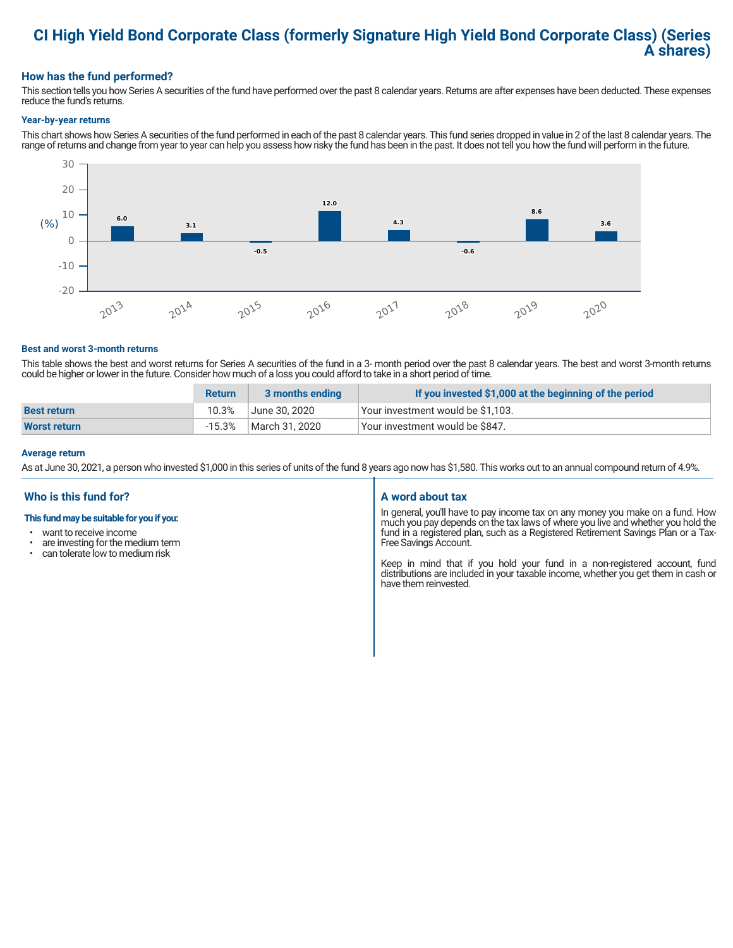### **CI High Yield Bond Corporate Class (formerly Signature High Yield Bond Corporate Class) (Series A shares)**

#### **How has the fund performed?**

This section tells you how Series A securities of the fund have performed over the past 8 calendar years. Returns are after expenses have been deducted. These expenses reduce the fund's returns.

#### **Year-by-year returns**

This chart shows how Series A securities of the fund performed in each of the past 8 calendar years. This fund series dropped in value in 2 of the last 8 calendar years. The range of returns and change from year to year can help you assess how risky the fund has been in the past. It does not tell you how the fund will perform in the future.



#### **Best and worst 3-month returns**

This table shows the best and worst returns for Series A securities of the fund in a 3- month period over the past 8 calendar years. The best and worst 3-month returns could be higher or lower in the future. Consider how much of a loss you could afford to take in a short period of time.

|                     | <b>Return</b> | 3 months ending | If you invested \$1,000 at the beginning of the period |
|---------------------|---------------|-----------------|--------------------------------------------------------|
| <b>Best return</b>  | 10.3%         | June 30. 2020   | Vour investment would be \$1,103.                      |
| <b>Worst return</b> | $-15.3%$      | March 31, 2020  | Your investment would be \$847.                        |

#### **Average return**

As at June 30, 2021, a person who invested \$1,000 in this series of units of the fund 8 years ago now has \$1,580. This works out to an annual compound return of 4.9%.

#### **Who is this fund for?**

#### **This fund may be suitable for you if you:**

- want to receive income
- are investing for the medium term<br>• can telerate low to medium risk
- can tolerate low to medium risk

#### **A word about tax**

In general, you'll have to pay income tax on any money you make on a fund. How much you pay depends on the tax laws of where you live and whether you hold the fund in a registered plan, such as a Registered Retirement Savings Plan or a Tax-Free Savings Account.

Keep in mind that if you hold your fund in a non-registered account, fund distributions are included in your taxable income, whether you get them in cash or have them reinvested.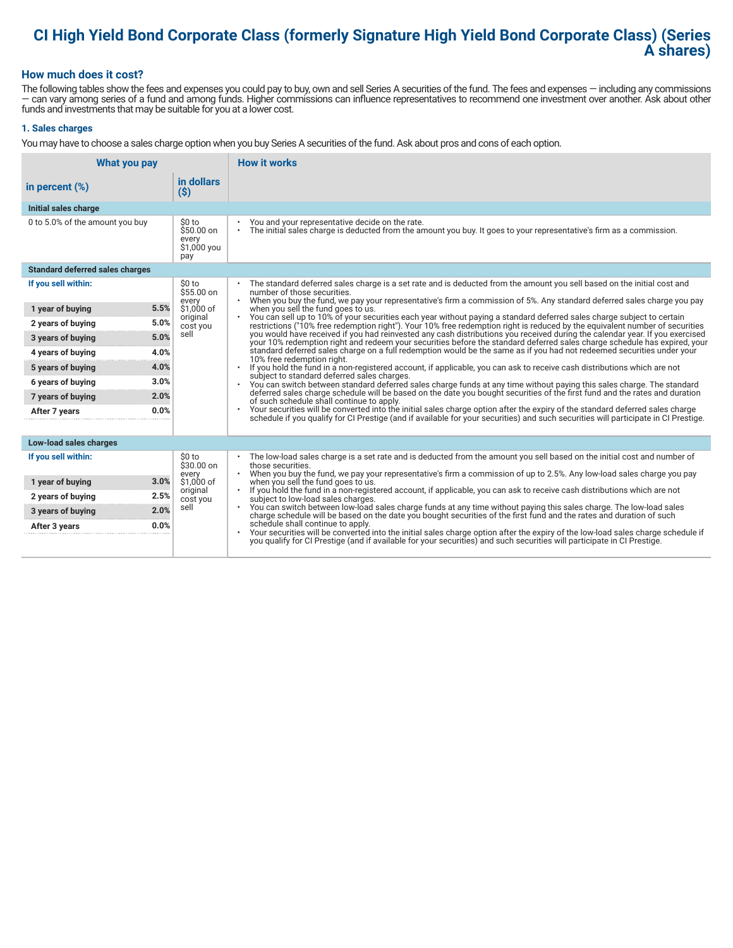## **CI High Yield Bond Corporate Class (formerly Signature High Yield Bond Corporate Class) (Series A shares)**

#### **How much does it cost?**

The following tables show the fees and expenses you could pay to buy, own and sell Series A securities of the fund. The fees and expenses — including any commissions — can vary among series of a fund and among funds. Higher commissions can influence representatives to recommend one investment over another. Ask about other funds and investments that may be suitable for you at a lower cost.

#### **1. Sales charges**

You may have to choose a sales charge option when you buy Series A securities of the fund. Ask about pros and cons of each option.

| What you pay                           |                                                      | <b>How it works</b>                                                                                                                                                                                                                                                                                            |  |  |
|----------------------------------------|------------------------------------------------------|----------------------------------------------------------------------------------------------------------------------------------------------------------------------------------------------------------------------------------------------------------------------------------------------------------------|--|--|
| in percent $(\%)$                      | in dollars<br>$(\$)$                                 |                                                                                                                                                                                                                                                                                                                |  |  |
| Initial sales charge                   |                                                      |                                                                                                                                                                                                                                                                                                                |  |  |
| 0 to 5.0% of the amount you buy        | \$0 to<br>$$50.00$ on<br>every<br>\$1,000 you<br>pay | You and your representative decide on the rate.<br>The initial sales charge is deducted from the amount you buy. It goes to your representative's firm as a commission.<br>$\bullet$                                                                                                                           |  |  |
| <b>Standard deferred sales charges</b> |                                                      |                                                                                                                                                                                                                                                                                                                |  |  |
| If you sell within:                    | \$0 to<br>$$55.00$ on                                | The standard deferred sales charge is a set rate and is deducted from the amount you sell based on the initial cost and<br>number of those securities.<br>$\bullet$                                                                                                                                            |  |  |
| 5.5%<br>1 year of buying               | every<br>\$1,000 of                                  | When you buy the fund, we pay your representative's firm a commission of 5%. Any standard deferred sales charge you pay<br>when you sell the fund goes to us.                                                                                                                                                  |  |  |
| 5.0%<br>2 years of buying              | original<br>cost you                                 | You can sell up to 10% of your securities each year without paying a standard deferred sales charge subject to certain<br>restrictions ("10% free redemption right"). Your 10% free redemption right is reduced by the equivalent number of securities                                                         |  |  |
| 5.0%<br>3 years of buying              | sell                                                 | you would have received if you had reinvested any cash distributions you received during the calendar year. If you exercised<br>your 10% redemption right and redeem your securities before the standard deferred sales charge schedule has expired, your                                                      |  |  |
| 4.0%<br>4 years of buying              |                                                      | standard deferred sales charge on a full redemption would be the same as if you had not redeemed securities under your<br>10% free redemption right.                                                                                                                                                           |  |  |
| 4.0%<br>5 years of buying              |                                                      | If you hold the fund in a non-registered account, if applicable, you can ask to receive cash distributions which are not<br>subject to standard deferred sales charges.<br>You can switch between standard deferred sales charge funds at any time without paying this sales charge. The standard<br>$\bullet$ |  |  |
| 3.0%<br>6 years of buying              |                                                      |                                                                                                                                                                                                                                                                                                                |  |  |
| 2.0%<br>7 years of buying              |                                                      | deferred sales charge schedule will be based on the date you bought securities of the first fund and the rates and duration<br>of such schedule shall continue to apply.                                                                                                                                       |  |  |
| 0.0%<br>After 7 years                  |                                                      | Your securities will be converted into the initial sales charge option after the expiry of the standard deferred sales charge<br>schedule if you qualify for CI Prestige (and if available for your securities) and such securities will participate in CI Prestige.                                           |  |  |
| Low-load sales charges                 |                                                      |                                                                                                                                                                                                                                                                                                                |  |  |
| If you sell within:                    | \$0 to<br>\$30.00 on<br>every                        | The low-load sales charge is a set rate and is deducted from the amount you sell based on the initial cost and number of<br>those securities.<br>When you buy the fund, we pay your representative's firm a commission of up to 2.5%. Any low-load sales charge you pay                                        |  |  |
| 3.0%<br>1 year of buying               | \$1.000 of<br>original                               | when you sell the fund goes to us.<br>If you hold the fund in a non-registered account, if applicable, you can ask to receive cash distributions which are not<br>$\bullet$                                                                                                                                    |  |  |
| 2.5%<br>2 years of buying              | cost you                                             | subject to low-load sales charges.                                                                                                                                                                                                                                                                             |  |  |
| 2.0%<br>3 years of buying              | sell                                                 | . You can switch between low-load sales charge funds at any time without paying this sales charge. The low-load sales<br>charge schedule will be based on the date you bought securities of the first fund and the rates and duration of such                                                                  |  |  |
| 0.0%<br>After 3 years                  |                                                      | schedule shall continue to apply.<br>Your securities will be converted into the initial sales charge option after the expiry of the low-load sales charge schedule if<br>you qualify for CI Prestige (and if available for your securities) and such securities will participate in CI Prestige.               |  |  |